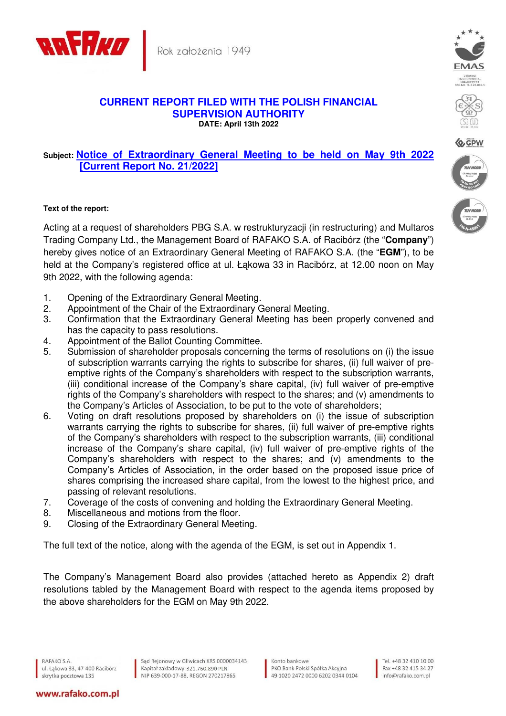

Rok założenia 1949

## **CURRENT REPORT FILED WITH THE POLISH FINANCIAL SUPERVISION AUTHORITY DATE: April 13th 2022**

## **Subject: Notice of Extraordinary General Meeting to be held on May 9th 2022 [Current Report No. 21/2022]**

## **Text of the report:**

Acting at a request of shareholders PBG S.A. w restrukturyzacji (in restructuring) and Multaros Trading Company Ltd., the Management Board of RAFAKO S.A. of Racibórz (the "**Company**") hereby gives notice of an Extraordinary General Meeting of RAFAKO S.A. (the "**EGM**"), to be held at the Company's registered office at ul. Łąkowa 33 in Racibórz, at 12.00 noon on May 9th 2022, with the following agenda:

- 1. Opening of the Extraordinary General Meeting.
- 2. Appointment of the Chair of the Extraordinary General Meeting.
- 3. Confirmation that the Extraordinary General Meeting has been properly convened and has the capacity to pass resolutions.
- 4. Appointment of the Ballot Counting Committee.
- 5. Submission of shareholder proposals concerning the terms of resolutions on (i) the issue of subscription warrants carrying the rights to subscribe for shares, (ii) full waiver of preemptive rights of the Company's shareholders with respect to the subscription warrants, (iii) conditional increase of the Company's share capital, (iv) full waiver of pre-emptive rights of the Company's shareholders with respect to the shares; and (v) amendments to the Company's Articles of Association, to be put to the vote of shareholders;
- 6. Voting on draft resolutions proposed by shareholders on (i) the issue of subscription warrants carrying the rights to subscribe for shares, (ii) full waiver of pre-emptive rights of the Company's shareholders with respect to the subscription warrants, (iii) conditional increase of the Company's share capital, (iv) full waiver of pre-emptive rights of the Company's shareholders with respect to the shares; and (v) amendments to the Company's Articles of Association, in the order based on the proposed issue price of shares comprising the increased share capital, from the lowest to the highest price, and passing of relevant resolutions.
- 7. Coverage of the costs of convening and holding the Extraordinary General Meeting.
- 8. Miscellaneous and motions from the floor.
- 9. Closing of the Extraordinary General Meeting.

The full text of the notice, along with the agenda of the EGM, is set out in Appendix 1.

The Company's Management Board also provides (attached hereto as Appendix 2) draft resolutions tabled by the Management Board with respect to the agenda items proposed by the above shareholders for the EGM on May 9th 2022.

www.rafako.com.pl